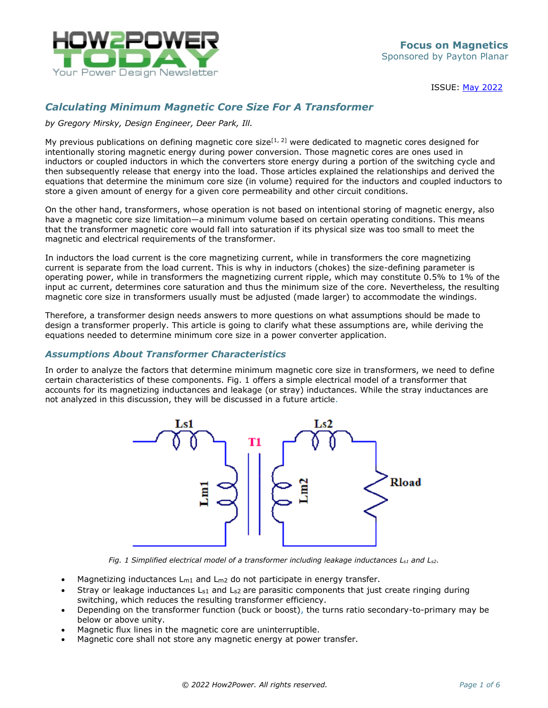

ISSUE: May [2022](http://www.how2power.com/newsletters/2205/index.html)

# *Calculating Minimum Magnetic Core Size For A Transformer*

*by Gregory Mirsky, Design Engineer, Deer Park, Ill.*

My previous publications on defining magnetic core size<sup>[1, 2]</sup> were dedicated to magnetic cores designed for intentionally storing magnetic energy during power conversion. Those magnetic cores are ones used in inductors or coupled inductors in which the converters store energy during a portion of the switching cycle and then subsequently release that energy into the load. Those articles explained the relationships and derived the equations that determine the minimum core size (in volume) required for the inductors and coupled inductors to store a given amount of energy for a given core permeability and other circuit conditions.

On the other hand, transformers, whose operation is not based on intentional storing of magnetic energy, also have a magnetic core size limitation—a minimum volume based on certain operating conditions. This means that the transformer magnetic core would fall into saturation if its physical size was too small to meet the magnetic and electrical requirements of the transformer.

In inductors the load current is the core magnetizing current, while in transformers the core magnetizing current is separate from the load current. This is why in inductors (chokes) the size-defining parameter is operating power, while in transformers the magnetizing current ripple, which may constitute 0.5% to 1% of the input ac current, determines core saturation and thus the minimum size of the core. Nevertheless, the resulting magnetic core size in transformers usually must be adjusted (made larger) to accommodate the windings.

Therefore, a transformer design needs answers to more questions on what assumptions should be made to design a transformer properly. This article is going to clarify what these assumptions are, while deriving the equations needed to determine minimum core size in a power converter application.

### *Assumptions About Transformer Characteristics*

In order to analyze the factors that determine minimum magnetic core size in transformers, we need to define certain characteristics of these components. Fig. 1 offers a simple electrical model of a transformer that accounts for its magnetizing inductances and leakage (or stray) inductances. While the stray inductances are not analyzed in this discussion, they will be discussed in a future article.



*Fig. 1* Simplified electrical model of a transformer including leakage inductances  $L_{s1}$  and  $L_{s2}$ *.* 

- Magnetizing inductances  $L_{m1}$  and  $L_{m2}$  do not participate in energy transfer.
- Stray or leakage inductances  $L_{s1}$  and  $L_{s2}$  are parasitic components that just create ringing during switching, which reduces the resulting transformer efficiency.
- Depending on the transformer function (buck or boost), the turns ratio secondary-to-primary may be below or above unity.
- Magnetic flux lines in the magnetic core are uninterruptible.
- Magnetic core shall not store any magnetic energy at power transfer.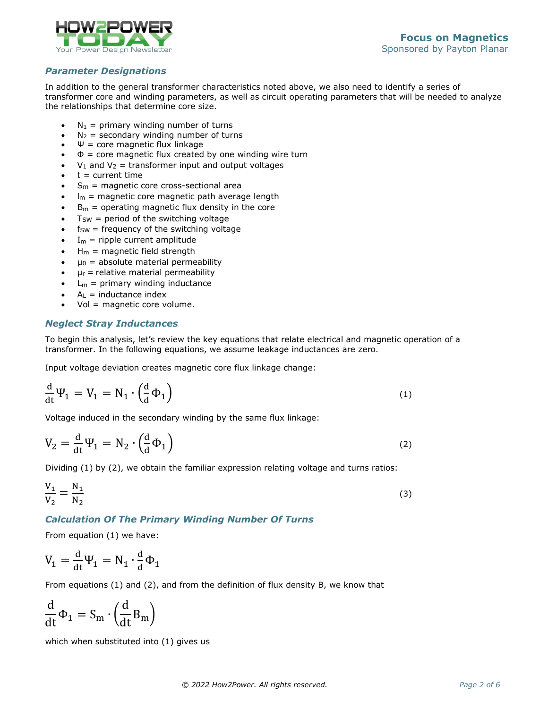

## *Parameter Designations*

In addition to the general transformer characteristics noted above, we also need to identify a series of transformer core and winding parameters, as well as circuit operating parameters that will be needed to analyze the relationships that determine core size.

- $N_1$  = primary winding number of turns
- $N_2$  = secondary winding number of turns
- $\Psi$  = core magnetic flux linkage
- $\Phi$  = core magnetic flux created by one winding wire turn
- $V_1$  and  $V_2$  = transformer input and output voltages
- $t =$  current time
- $S<sub>m</sub>$  = magnetic core cross-sectional area
- $I_m$  = magnetic core magnetic path average length
- $B<sub>m</sub>$  = operating magnetic flux density in the core
- $T<sub>SW</sub>$  = period of the switching voltage
- $f_{SW}$  = frequency of the switching voltage
- $I_m$  = ripple current amplitude
- $H_m$  = magnetic field strength
- $\mu_0$  = absolute material permeability
- $\mu_r$  = relative material permeability
- $L_m$  = primary winding inductance
- $A_L$  = inductance index
- Vol = magnetic core volume.

## *Neglect Stray Inductances*

To begin this analysis, let's review the key equations that relate electrical and magnetic operation of a transformer. In the following equations, we assume leakage inductances are zero.

Input voltage deviation creates magnetic core flux linkage change:

$$
\frac{d}{dt}\Psi_1 = V_1 = N_1 \cdot \left(\frac{d}{d}\Phi_1\right)
$$
\n(1)

Voltage induced in the secondary winding by the same flux linkage:

$$
V_2 = \frac{d}{dt} \Psi_1 = N_2 \cdot \left(\frac{d}{d} \Phi_1\right)
$$
 (2)

Dividing (1) by (2), we obtain the familiar expression relating voltage and turns ratios:

$$
\frac{V_1}{V_2} = \frac{N_1}{N_2} \tag{3}
$$

# *Calculation Of The Primary Winding Number Of Turns*

From equation (1) we have:

$$
V_1 = \frac{d}{dt} \Psi_1 = N_1 \cdot \frac{d}{d} \Phi_1
$$

From equations (1) and (2), and from the definition of flux density B, we know that

$$
\frac{d}{dt}\Phi_1 = S_m \cdot \left(\frac{d}{dt}B_m\right)
$$

which when substituted into (1) gives us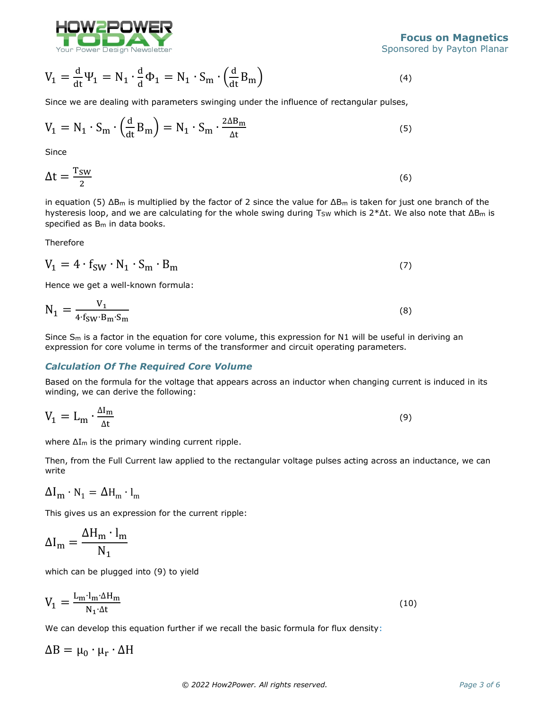

$$
V_1 = \frac{d}{dt} \Psi_1 = N_1 \cdot \frac{d}{d} \Phi_1 = N_1 \cdot S_m \cdot \left(\frac{d}{dt} B_m\right)
$$
\n(4)

Since we are dealing with parameters swinging under the influence of rectangular pulses,

$$
V_1 = N_1 \cdot S_m \cdot \left(\frac{d}{dt} B_m\right) = N_1 \cdot S_m \cdot \frac{2\Delta B_m}{\Delta t}
$$
\n<sup>(5)</sup>

**Since** 

$$
\Delta t = \frac{T_{SW}}{2} \tag{6}
$$

in equation (5)  $\Delta B_m$  is multiplied by the factor of 2 since the value for  $\Delta B_m$  is taken for just one branch of the hysteresis loop, and we are calculating for the whole swing during T<sub>SW</sub> which is  $2* \Delta t$ . We also note that  $\Delta B_m$  is specified as  $B_m$  in data books.

Therefore

$$
V_1 = 4 \cdot f_{SW} \cdot N_1 \cdot S_m \cdot B_m \tag{7}
$$

Hence we get a well-known formula:

$$
N_1 = \frac{V_1}{4 \cdot f_{SW} \cdot B_m \cdot S_m}
$$
 (8)

Since  $S_m$  is a factor in the equation for core volume, this expression for N1 will be useful in deriving an expression for core volume in terms of the transformer and circuit operating parameters.

#### *Calculation Of The Required Core Volume*

Based on the formula for the voltage that appears across an inductor when changing current is induced in its winding, we can derive the following:

$$
V_1 = L_m \cdot \frac{\Delta I_m}{\Delta t} \tag{9}
$$

where ΔIm is the primary winding current ripple.

Then, from the Full Current law applied to the rectangular voltage pulses acting across an inductance, we can write

$$
\Delta I_m \cdot N_1 = \Delta H_m \cdot l_m
$$

This gives us an expression for the current ripple:

$$
\Delta I_{\rm m} = \frac{\Delta H_{\rm m} \cdot I_{\rm m}}{N_1}
$$

which can be plugged into (9) to yield

$$
V_1 = \frac{L_m \cdot l_m \cdot \Delta H_m}{N_1 \cdot \Delta t}
$$
 (10)

We can develop this equation further if we recall the basic formula for flux density:

 $\Delta B = \mu_0 \cdot \mu_r \cdot \Delta H$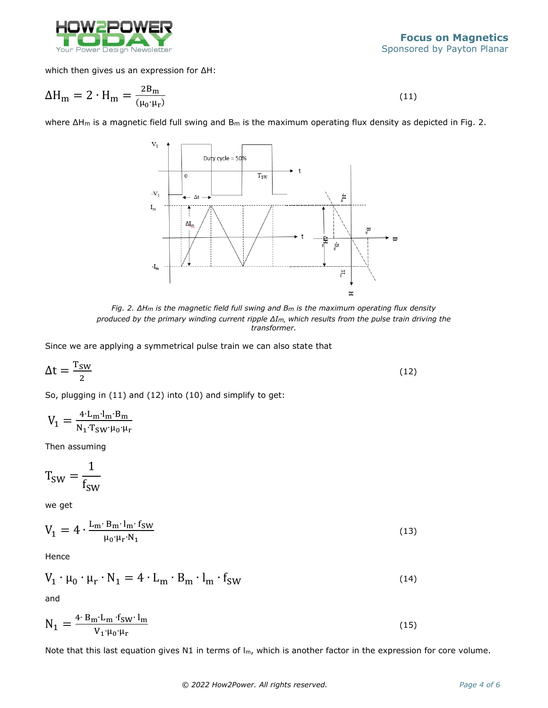

which then gives us an expression for ΔH:

$$
\Delta H_{\rm m} = 2 \cdot H_{\rm m} = \frac{2B_{\rm m}}{(\mu_0 \cdot \mu_r)}\tag{11}
$$

where ΔH<sub>m</sub> is a magnetic field full swing and B<sub>m</sub> is the maximum operating flux density as depicted in Fig. 2.



*Fig. 2. ΔHm is the magnetic field full swing and Bm is the maximum operating flux density produced by the primary winding current ripple ΔIm, which results from the pulse train driving the transformer.*

Since we are applying a symmetrical pulse train we can also state that

$$
\Delta t = \frac{T_{SW}}{2} \tag{12}
$$

So, plugging in (11) and (12) into (10) and simplify to get:

$$
V_1=\tfrac{4\cdot L_m\cdot l_m\cdot B_m}{N_1\cdot T_{SW}\cdot \mu_0\cdot \mu_r}
$$

Then assuming

$$
T_{SW} = \frac{1}{f_{SW}}
$$

we get

$$
V_1 = 4 \cdot \frac{L_m \cdot B_m \cdot l_m \cdot f_{SW}}{\mu_0 \cdot \mu_r \cdot N_1}
$$
 (13)

Hence

$$
V_1 \cdot \mu_0 \cdot \mu_r \cdot N_1 = 4 \cdot L_m \cdot B_m \cdot l_m \cdot f_{SW}
$$
 (14)

and

$$
N_1 = \frac{4 \cdot B_m \cdot L_m \cdot f_{SW} \cdot l_m}{V_1 \cdot \mu_0 \cdot \mu_r}
$$
\n(15)

Note that this last equation gives N1 in terms of  $I_m$ , which is another factor in the expression for core volume.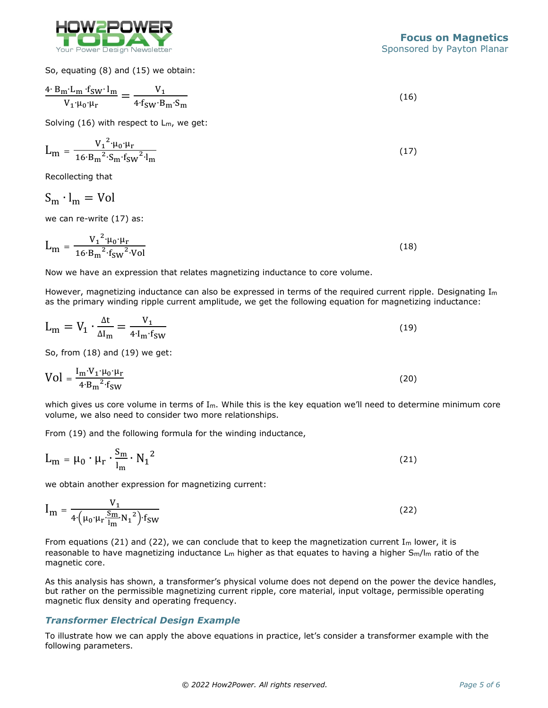

So, equating (8) and (15) we obtain:

$$
\frac{4 \cdot B_m \cdot L_m \cdot f_{SW} \cdot l_m}{V_1 \cdot \mu_0 \cdot \mu_r} = \frac{V_1}{4 \cdot f_{SW} \cdot B_m \cdot S_m}
$$
(16)

Solving (16) with respect to Lm, we get:

$$
L_{m} = \frac{V_{1}^{2} \cdot \mu_{0} \cdot \mu_{r}}{16 \cdot B_{m}^{2} \cdot S_{m} \cdot f_{SW}^{2} \cdot l_{m}}
$$
(17)

Recollecting that

 $S_m \cdot l_m = Vol$ 

we can re-write (17) as:

$$
L_{m} = \frac{{V_1}^2 \cdot \mu_0 \cdot \mu_r}{16 \cdot B_m^2 \cdot f_{SW}^2 \cdot Vol}
$$
 (18)

Now we have an expression that relates magnetizing inductance to core volume.

However, magnetizing inductance can also be expressed in terms of the required current ripple. Designating  $I_m$ as the primary winding ripple current amplitude, we get the following equation for magnetizing inductance:

$$
L_m = V_1 \cdot \frac{\Delta t}{\Delta I_m} = \frac{V_1}{4 \cdot I_m \cdot f_{SW}} \tag{19}
$$

So, from (18) and (19) we get:

$$
Vol = \frac{I_m \cdot V_1 \cdot \mu_0 \cdot \mu_r}{4 \cdot B_m^2 \cdot f_{SW}}
$$
 (20)

which gives us core volume in terms of  $I_m$ . While this is the key equation we'll need to determine minimum core volume, we also need to consider two more relationships.

From (19) and the following formula for the winding inductance,

$$
L_m = \mu_0 \cdot \mu_r \cdot \frac{S_m}{l_m} \cdot N_1^2 \tag{21}
$$

we obtain another expression for magnetizing current:

$$
I_{m} = \frac{V_{1}}{4 \cdot (\mu_{0} \cdot \mu_{r} \cdot \frac{S_{m}}{l_{m}} N_{1}^{2}) \cdot f_{SW}}
$$
(22)

From equations (21) and (22), we can conclude that to keep the magnetization current  $I_m$  lower, it is reasonable to have magnetizing inductance  $L_m$  higher as that equates to having a higher  $S_m/l_m$  ratio of the magnetic core.

As this analysis has shown, a transformer's physical volume does not depend on the power the device handles, but rather on the permissible magnetizing current ripple, core material, input voltage, permissible operating magnetic flux density and operating frequency.

### *Transformer Electrical Design Example*

To illustrate how we can apply the above equations in practice, let's consider a transformer example with the following parameters.